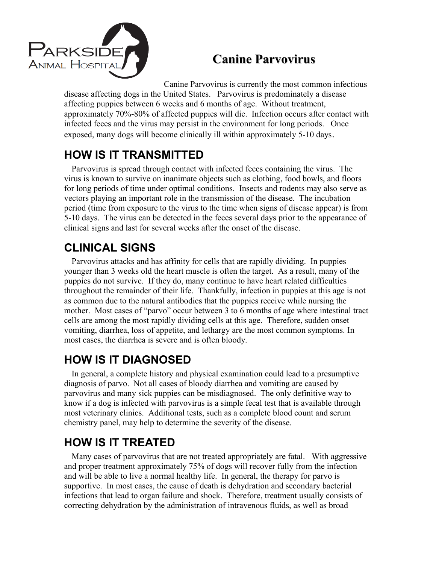

## **Canine Parvovirus**

Canine Parvovirus is currently the most common infectious disease affecting dogs in the United States. Parvovirus is predominately a disease affecting puppies between 6 weeks and 6 months of age. Without treatment, approximately 70%-80% of affected puppies will die. Infection occurs after contact with infected feces and the virus may persist in the environment for long periods. Once exposed, many dogs will become clinically ill within approximately 5-10 days.

## **HOW IS IT TRANSMITTED**

Parvovirus is spread through contact with infected feces containing the virus. The virus is known to survive on inanimate objects such as clothing, food bowls, and floors for long periods of time under optimal conditions. Insects and rodents may also serve as vectors playing an important role in the transmission of the disease. The incubation period (time from exposure to the virus to the time when signs of disease appear) is from 5-10 days. The virus can be detected in the feces several days prior to the appearance of clinical signs and last for several weeks after the onset of the disease.

### **CLINICAL SIGNS**

Parvovirus attacks and has affinity for cells that are rapidly dividing. In puppies younger than 3 weeks old the heart muscle is often the target. As a result, many of the puppies do not survive. If they do, many continue to have heart related difficulties throughout the remainder of their life. Thankfully, infection in puppies at this age is not as common due to the natural antibodies that the puppies receive while nursing the mother. Most cases of "parvo" occur between 3 to 6 months of age where intestinal tract cells are among the most rapidly dividing cells at this age. Therefore, sudden onset vomiting, diarrhea, loss of appetite, and lethargy are the most common symptoms. In most cases, the diarrhea is severe and is often bloody.

### **HOW IS IT DIAGNOSED**

In general, a complete history and physical examination could lead to a presumptive diagnosis of parvo. Not all cases of bloody diarrhea and vomiting are caused by parvovirus and many sick puppies can be misdiagnosed. The only definitive way to know if a dog is infected with parvovirus is a simple fecal test that is available through most veterinary clinics. Additional tests, such as a complete blood count and serum chemistry panel, may help to determine the severity of the disease.

# **HOW IS IT TREATED**

Many cases of parvovirus that are not treated appropriately are fatal. With aggressive and proper treatment approximately 75% of dogs will recover fully from the infection and will be able to live a normal healthy life. In general, the therapy for parvo is supportive. In most cases, the cause of death is dehydration and secondary bacterial infections that lead to organ failure and shock. Therefore, treatment usually consists of correcting dehydration by the administration of intravenous fluids, as well as broad